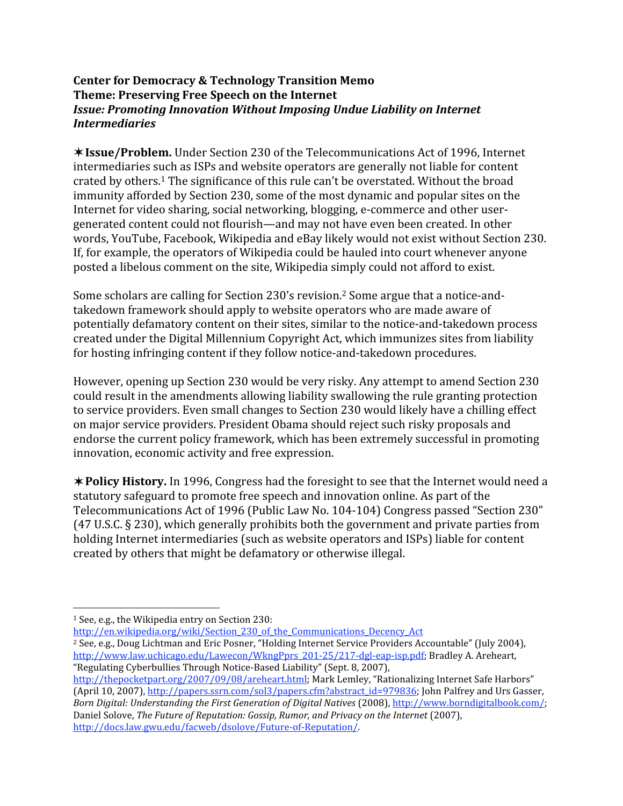## **Center
for
Democracy
&
Technology
Transition
Memo Theme:
Preserving
Free
Speech
on
the
Internet** *Issue:
Promoting
Innovation
Without
Imposing
Undue
Liability
on
Internet Intermediaries*

**Issue/Problem.** Under
Section
230
of
the
Telecommunications
Act
of
1996,
Internet intermediaries
such
as
ISPs
and
website
operators
are
generally
not
liable
for
content crated by others.<sup>1</sup> The significance of this rule can't be overstated. Without the broad immunity
afforded
by
Section
230,
some
of
the
most
dynamic
and popular
sites
on
the Internet for video sharing, social networking, blogging, e-commerce and other usergenerated content could not flourish—and may not have even been created. In other words,
YouTube,
Facebook,
Wikipedia
and
eBay
likely
would
not
exist
without Section
230. If,
for
example,
the
operators
of
Wikipedia
could
be
hauled
into
court
whenever
anyone posted
a
libelous
comment
on
the
site,
Wikipedia
simply
could
not
afford
to
exist.

Some
scholars
are
calling
for
Section
230's
revision.2 Some
argue
that
a
notice‐and‐ takedown
framework
should
apply
to
website
operators
who
are
made
aware
of potentially
defamatory
content
on
their
sites,
similar
to
the
notice‐and‐takedown
process created
under
the
Digital
Millennium
Copyright
Act,
which
immunizes
sites
from
liability for hosting infringing content if they follow notice-and-takedown procedures.

However,
opening
up
Section
230
would
be
very
risky. Any
attempt
to
amend
Section
230 could
result
in
the
amendments
allowing
liability
swallowing
the
rule
granting
protection to
service
providers. Even
small
changes
to
Section
230
would
likely
have
a
chilling
effect on
major
service
providers.
President
Obama
should
reject
such
risky
proposals
and endorse
the
current
policy
framework,
which
has
been
extremely
successful
in
promoting innovation,
economic
activity
and
free
expression.

**\* Policy History.** In 1996, Congress had the foresight to see that the Internet would need a statutory safeguard to promote free speech and innovation online. As part of the Telecommunications
Act
of
1996
(Public
Law
No.
104‐104)
Congress
passed
"Section
230" (47
U.S.C.
§
230),
which
generally
prohibits
both
the
government
and
private
parties
from holding Internet intermediaries (such as website operators and ISPs) liable for content created
by
others
that
might
be
defamatory
or
otherwise
illegal.

http://en.wikipedia.org/wiki/Section 230 of the Communications Decency Act

- <sup>2</sup> See, e.g., Doug Lichtman and Eric Posner, "Holding Internet Service Providers Accountable" (July 2004), http://www.law.uchicago.edu/Lawecon/WkngPprs\_201-25/217-dgl-eap-isp.pdf; Bradley A. Areheart, "Regulating
Cyberbullies
Through
Notice‐Based
Liability"
(Sept.
8,
2007),
- http://thepocketpart.org/2007/09/08/areheart.html; Mark Lemley, "Rationalizing Internet Safe Harbors" (April 10, 2007), http://papers.ssrn.com/sol3/papers.cfm?abstract\_id=979836; John Palfrey and Urs Gasser, Born Digital: Understanding the First Generation of Digital Natives (2008), http://www.borndigitalbook.com/; Daniel Solove, The Future of Reputation: Gossip, Rumor, and Privacy on the Internet (2007), http://docs.law.gwu.edu/facweb/dsolove/Future‐of‐Reputation/.

<sup>&</sup>lt;sup>1</sup> See, e.g., the Wikipedia entry on Section 230: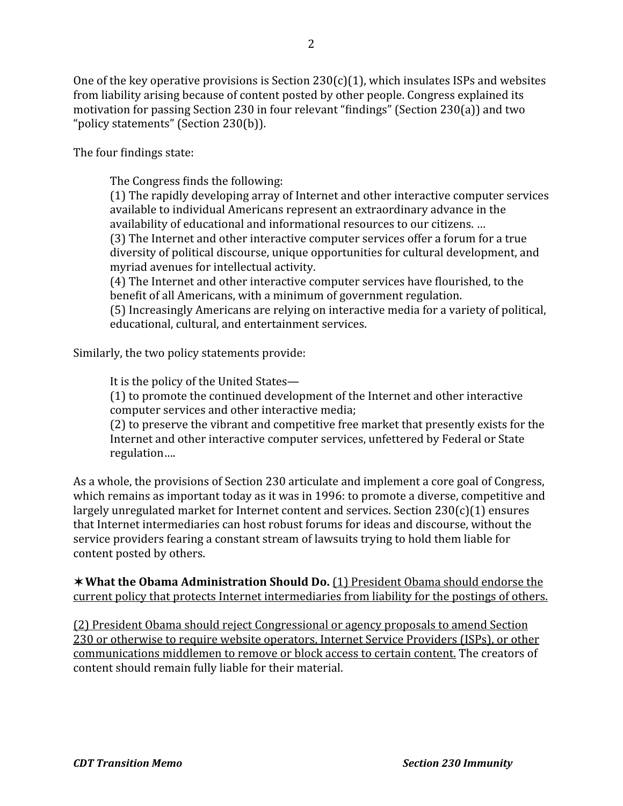One of the key operative provisions is Section  $230(c)(1)$ , which insulates ISPs and websites from liability arising because of content posted by other people. Congress explained its motivation for passing Section 230 in four relevant "findings" (Section 230(a)) and two "policy
statements"
(Section
230(b)).

The four findings state:

The Congress finds the following:

(1)
The
rapidly
developing
array
of
Internet
and
other interactive
computer
services available
to
individual Americans
represent
an
extraordinary
advance
in
the availability of educational and informational resources to our citizens. ... (3)
The
Internet
and
other
interactive
computer
services offer
a
forum
for
a
true diversity of political discourse, unique opportunities for cultural development, and myriad avenues
for
intellectual
activity.

(4) The Internet and other interactive computer services have flourished, to the benefit of all Americans, with a minimum of government regulation.

(5)
Increasingly
Americans
are
relying
on
interactive media
for
a
variety
of
political, educational,
cultural,
and entertainment
services.

Similarly,
the
two
policy
statements
provide:

It is the policy of the United States—

(1)
to
promote
the
continued
development
of
the
Internet
and
other
interactive computer
services
and
other interactive
media;

(2)
to
preserve
the
vibrant
and
competitive
free
market that
presently
exists
for
the Internet and other interactive computer services, unfettered by Federal or State regulation….

As a whole, the provisions of Section 230 articulate and implement a core goal of Congress, which remains as important today as it was in 1996: to promote a diverse, competitive and largely unregulated market for Internet content and services. Section 230(c)(1) ensures that
Internet
intermediaries
can host
robust
forums
for
ideas
and
discourse, without
the service
providers
fearing
a
constant
stream
of
lawsuits
trying
to
hold
them
liable
for content
posted
by
others.

**\*What the Obama Administration Should Do.** (1) President Obama should endorse the current
policy
that
protects
Internet
intermediaries
from
liability
for
the
postings
of
others.

(2)
President
Obama
should
reject
Congressional
or
agency
proposals
to
amend
Section 230 or otherwise to require website operators, Internet Service Providers (ISPs), or other communications middlemen to remove or block access to certain content. The creators of content
should
remain
fully
liable
for
their
material.